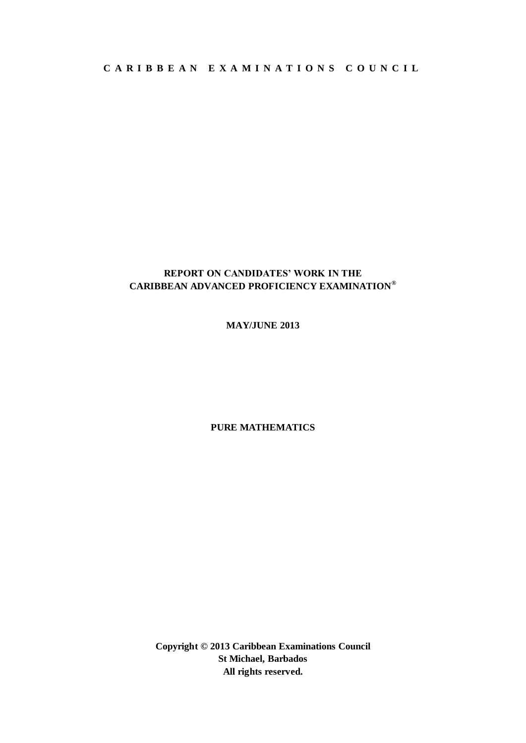**C A R I B B E A N E X A M I N A T I O N S C O U N C I L**

# **REPORT ON CANDIDATES' WORK IN THE CARIBBEAN ADVANCED PROFICIENCY EXAMINATION®**

# **MAY/JUNE 2013**

## **PURE MATHEMATICS**

**Copyright © 2013 Caribbean Examinations Council St Michael, Barbados All rights reserved.**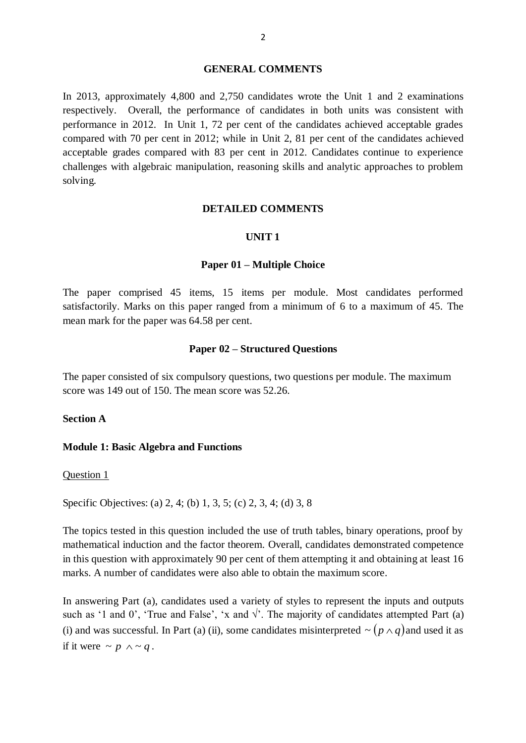#### **GENERAL COMMENTS**

In 2013, approximately 4,800 and 2,750 candidates wrote the Unit 1 and 2 examinations respectively. Overall, the performance of candidates in both units was consistent with performance in 2012. In Unit 1, 72 per cent of the candidates achieved acceptable grades compared with 70 per cent in 2012; while in Unit 2, 81 per cent of the candidates achieved acceptable grades compared with 83 per cent in 2012. Candidates continue to experience challenges with algebraic manipulation, reasoning skills and analytic approaches to problem solving.

## **DETAILED COMMENTS**

## **UNIT 1**

## **Paper 01 – Multiple Choice**

The paper comprised 45 items, 15 items per module. Most candidates performed satisfactorily. Marks on this paper ranged from a minimum of 6 to a maximum of 45. The mean mark for the paper was 64.58 per cent.

### **Paper 02 – Structured Questions**

The paper consisted of six compulsory questions, two questions per module. The maximum score was 149 out of 150. The mean score was 52.26.

## **Section A**

### **Module 1: Basic Algebra and Functions**

Question 1

Specific Objectives: (a) 2, 4; (b) 1, 3, 5; (c) 2, 3, 4; (d) 3, 8

The topics tested in this question included the use of truth tables, binary operations, proof by mathematical induction and the factor theorem. Overall, candidates demonstrated competence in this question with approximately 90 per cent of them attempting it and obtaining at least 16 marks. A number of candidates were also able to obtain the maximum score.

In answering Part (a), candidates used a variety of styles to represent the inputs and outputs such as '1 and 0', 'True and False', 'x and  $\sqrt{ }$ '. The majority of candidates attempted Part (a) (i) and was successful. In Part (a) (ii), some candidates misinterpreted  $\sim (p \wedge q)$  and used it as if it were  $\sim p \wedge \sim q$ .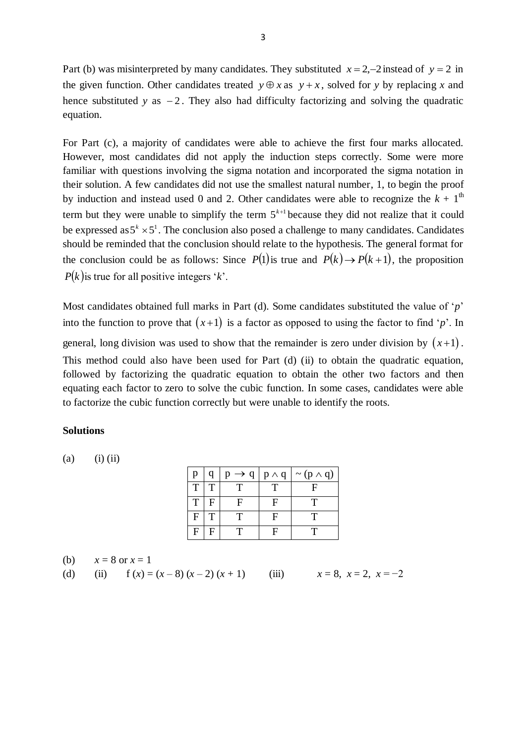Part (b) was misinterpreted by many candidates. They substituted  $x = 2, -2$  instead of  $y = 2$  in the given function. Other candidates treated  $y \oplus x$  as  $y + x$ , solved for *y* by replacing *x* and hence substituted *y* as  $-2$ . They also had difficulty factorizing and solving the quadratic equation.

For Part (c), a majority of candidates were able to achieve the first four marks allocated. However, most candidates did not apply the induction steps correctly. Some were more familiar with questions involving the sigma notation and incorporated the sigma notation in their solution. A few candidates did not use the smallest natural number, 1, to begin the proof by induction and instead used 0 and 2. Other candidates were able to recognize the  $k + 1<sup>th</sup>$ term but they were unable to simplify the term  $5^{k+1}$  because they did not realize that it could be expressed as  $5^k \times 5^l$ . The conclusion also posed a challenge to many candidates. Candidates should be reminded that the conclusion should relate to the hypothesis. The general format for the conclusion could be as follows: Since  $P(1)$  is true and  $P(k) \rightarrow P(k+1)$ , the proposition  $P(k)$  is true for all positive integers '*k*'.

Most candidates obtained full marks in Part (d). Some candidates substituted the value of '*p*' into the function to prove that  $(x+1)$  is a factor as opposed to using the factor to find '*p*'. In general, long division was used to show that the remainder is zero under division by  $(x+1)$ . This method could also have been used for Part (d) (ii) to obtain the quadratic equation, followed by factorizing the quadratic equation to obtain the other two factors and then equating each factor to zero to solve the cubic function. In some cases, candidates were able to factorize the cubic function correctly but were unable to identify the roots.

## **Solutions**

 $(a)$  (i) (ii)

| p | q            | $p \rightarrow q$ | $p \wedge q$ | $\sim (p \wedge q)$ |
|---|--------------|-------------------|--------------|---------------------|
| T | $\mathbf T$  |                   |              | F                   |
| T | l F          | F                 | F            | т                   |
| F | $\mathsf{T}$ | т                 | F            | т                   |
| F | F            |                   | F            | т                   |

(b)  $x = 8$  or  $x = 1$ 

(d) (ii) 
$$
f(x) = (x-8)(x-2)(x+1)
$$
 (iii)  $x = 8, x = 2, x = -2$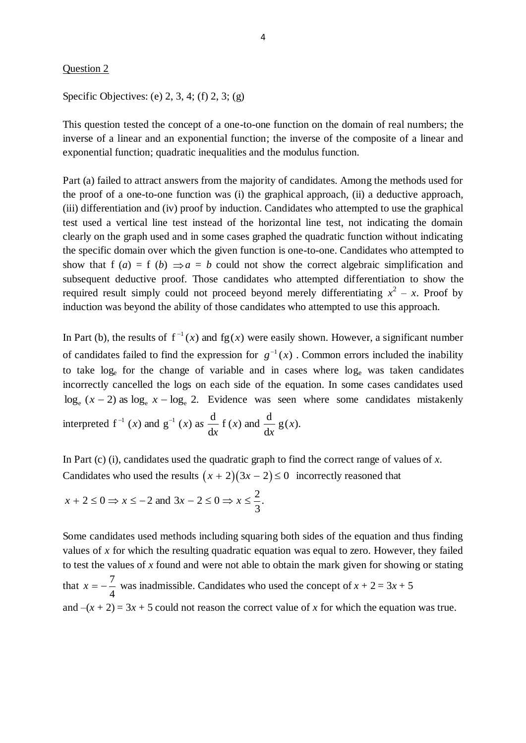#### Question 2

Specific Objectives: (e) 2, 3, 4; (f) 2, 3; (g)

This question tested the concept of a one-to-one function on the domain of real numbers; the inverse of a linear and an exponential function; the inverse of the composite of a linear and exponential function; quadratic inequalities and the modulus function.

Part (a) failed to attract answers from the majority of candidates. Among the methods used for the proof of a one-to-one function was (i) the graphical approach, (ii) a deductive approach, (iii) differentiation and (iv) proof by induction. Candidates who attempted to use the graphical test used a vertical line test instead of the horizontal line test, not indicating the domain clearly on the graph used and in some cases graphed the quadratic function without indicating the specific domain over which the given function is one-to-one. Candidates who attempted to show that  $f(a) = f(b) \implies a = b$  could not show the correct algebraic simplification and subsequent deductive proof. Those candidates who attempted differentiation to show the required result simply could not proceed beyond merely differentiating  $x^2 - x$ . Proof by induction was beyond the ability of those candidates who attempted to use this approach.

In Part (b), the results of  $f^{-1}(x)$  and  $fg(x)$  were easily shown. However, a significant number of candidates failed to find the expression for  $g^{-1}(x)$ . Common errors included the inability to take  $log_e$  for the change of variable and in cases where  $log_e$  was taken candidates incorrectly cancelled the logs on each side of the equation. In some cases candidates used  $\log_e (x - 2)$  as  $\log_e x - \log_e 2$ . Evidence was seen where some candidates mistakenly interpreted  $f^{-1}(x)$  and  $g^{-1}(x)$  as  $\frac{d}{dx} f(x)$  and  $\frac{d}{dx} g(x)$ . d f (x) and  $\frac{d}{dx}$ d  $f^{-1}(x)$  and  $g^{-1}(x)$  as  $\frac{d}{dx} f(x)$  and  $\frac{d}{dx} g(x)$ *x x x*  $x^{-1}$  (x) and  $g^{-1}$  (x) as

In Part (c) (i), candidates used the quadratic graph to find the correct range of values of *x*. Candidates who used the results  $(x + 2)(3x - 2) \le 0$  incorrectly reasoned that

$$
x + 2 \le 0 \Rightarrow x \le -2 \text{ and } 3x - 2 \le 0 \Rightarrow x \le \frac{2}{3}.
$$

Some candidates used methods including squaring both sides of the equation and thus finding values of *x* for which the resulting quadratic equation was equal to zero. However, they failed to test the values of *x* found and were not able to obtain the mark given for showing or stating that 4  $x = -\frac{7}{x}$  was inadmissible. Candidates who used the concept of  $x + 2 = 3x + 5$ and  $-(x + 2) = 3x + 5$  could not reason the correct value of x for which the equation was true.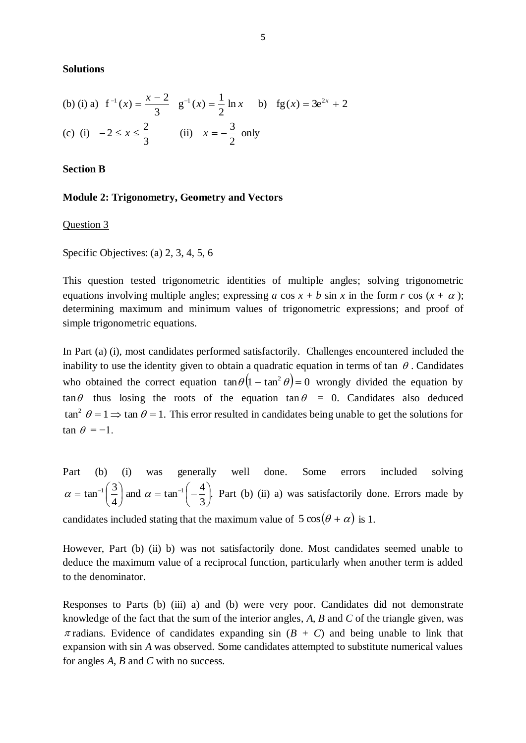**Solutions**

(b) (i) a) 
$$
f^{-1}(x) = \frac{x-2}{3}
$$
  $g^{-1}(x) = \frac{1}{2} \ln x$  b)  $fg(x) = 3e^{2x} + 2$   
(c) (i)  $-2 \le x \le \frac{2}{3}$  (ii)  $x = -\frac{3}{2}$  only

**Section B**

### **Module 2: Trigonometry, Geometry and Vectors**

Question 3

Specific Objectives: (a) 2, 3, 4, 5, 6

This question tested trigonometric identities of multiple angles; solving trigonometric equations involving multiple angles; expressing  $a \cos x + b \sin x$  in the form  $r \cos (x + \alpha)$ ; determining maximum and minimum values of trigonometric expressions; and proof of simple trigonometric equations.

In Part (a) (i), most candidates performed satisfactorily. Challenges encountered included the inability to use the identity given to obtain a quadratic equation in terms of tan  $\theta$ . Candidates who obtained the correct equation  $\tan \theta (1 - \tan^2 \theta) = 0$  wrongly divided the equation by  $\tan \theta$  thus losing the roots of the equation  $\tan \theta = 0$ . Candidates also deduced  $\tan^2 \theta = 1 \Rightarrow \tan \theta = 1$ . This error resulted in candidates being unable to get the solutions for  $\tan \theta = -1$ .

Part (b) (i) was generally well done. Some errors included solving . 3 and  $\alpha = \tan^{-1}\left(-\frac{4}{3}\right)$ 4  $\tan^{-1}\left(\frac{3}{4}\right)$  and  $\alpha = \tan^{-1}\left(-\frac{4}{2}\right)$ J  $\left(-\frac{4}{2}\right)$  $\setminus$ and  $\alpha = \tan^{-1}(-$ J  $\left(\frac{3}{4}\right)$  $\setminus$  $\alpha = \tan^{-1}\left(\frac{3}{2}\right)$  and  $\alpha = \tan^{-1}\left(-\frac{4}{3}\right)$ . Part (b) (ii) a) was satisfactorily done. Errors made by candidates included stating that the maximum value of  $5 \cos(\theta + \alpha)$  is 1.

However, Part (b) (ii) b) was not satisfactorily done. Most candidates seemed unable to deduce the maximum value of a reciprocal function, particularly when another term is added to the denominator.

Responses to Parts (b) (iii) a) and (b) were very poor. Candidates did not demonstrate knowledge of the fact that the sum of the interior angles, *A*, *B* and *C* of the triangle given, was  $\pi$  radians. Evidence of candidates expanding sin ( $B + C$ ) and being unable to link that expansion with sin *A* was observed. Some candidates attempted to substitute numerical values for angles *A*, *B* and *C* with no success.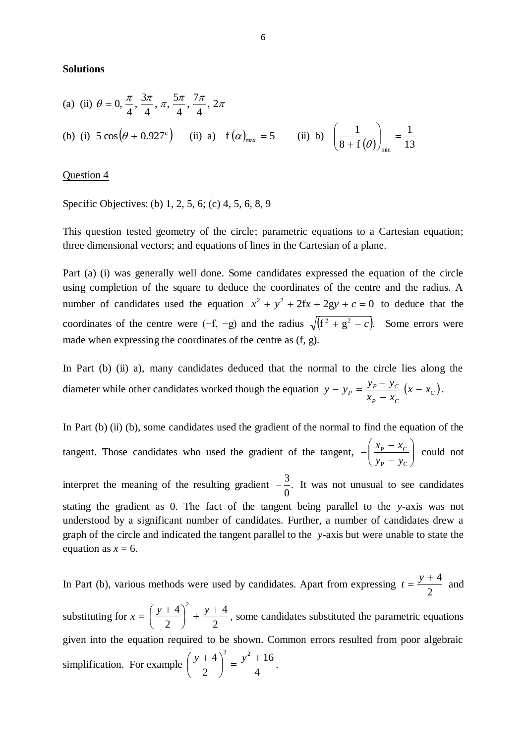#### **Solutions**

(a) (ii) 
$$
\theta = 0, \frac{\pi}{4}, \frac{3\pi}{4}, \pi, \frac{5\pi}{4}, \frac{7\pi}{4}, 2\pi
$$
  
\n(b) (i)  $5 \cos(\theta + 0.927^c)$  (ii) a)  $f(\alpha)_{\text{max}} = 5$  (ii) b)  $\left(\frac{1}{8 + f(\theta)}\right)_{\text{min}} = \frac{1}{13}$ 

Question 4

Specific Objectives: (b) 1, 2, 5, 6; (c) 4, 5, 6, 8, 9

This question tested geometry of the circle; parametric equations to a Cartesian equation; three dimensional vectors; and equations of lines in the Cartesian of a plane.

Part (a) (i) was generally well done. Some candidates expressed the equation of the circle using completion of the square to deduce the coordinates of the centre and the radius. A number of candidates used the equation  $x^2 + y^2 + 2fx + 2gy + c = 0$  to deduce that the coordinates of the centre were  $(-f, -g)$  and the radius  $\sqrt{(f^2 + g^2 - c)}$ . Some errors were made when expressing the coordinates of the centre as (f, g).

In Part (b) (ii) a), many candidates deduced that the normal to the circle lies along the diameter while other candidates worked though the equation  $y - y_p = \frac{y_p - y_c}{x} (x - x_c)$  $P - \lambda_C$  $P = \frac{y_P - y_C}{x} (x - x)$  $x_p - x$  $y - y_p = \frac{y_p - y_c}{x}$  (x –  $\overline{a}$  $-y_p = \frac{y_p - y_c}{x - x_c}.$ 

In Part (b) (ii) (b), some candidates used the gradient of the normal to find the equation of the tangent. Those candidates who used the gradient of the tangent,  $-\left|\frac{x_{p}}{y_{p}}\right| \frac{x_{c}}{y_{p}}$ J  $\setminus$  $\overline{\phantom{a}}$  $\setminus$ ſ  $\overline{a}$  $-\left(\frac{x_{\rm P}}{\ }$  $_{\rm P}$  –  $y_{\rm C}$  $P \sim C$  $y_{\rm p} - y$  $\left(x_{\rm p} - x_{\rm c}\right)$  could not interpret the meaning of the resulting gradient  $-\frac{5}{6}$ . 0  $-\frac{3}{6}$ . It was not unusual to see candidates stating the gradient as 0. The fact of the tangent being parallel to the *y*-axis was not understood by a significant number of candidates. Further, a number of candidates drew a graph of the circle and indicated the tangent parallel to the *y*-axis but were unable to state the equation as  $x = 6$ .

In Part (b), various methods were used by candidates. Apart from expressing 2  $t = \frac{y+4}{z}$  and substituting for  $x =$ 2 4 2  $\left(\frac{4}{2}\right)^2 + \frac{y+1}{2}$ J  $\left(\frac{y+4}{2}\right)$  $\setminus$  $\left(\frac{y+4}{x}\right)^2 + \frac{y+4}{x}$ , some candidates substituted the parametric equations given into the equation required to be shown. Common errors resulted from poor algebraic simplification. For example 4 16 2  $\left(\frac{4}{2}\right)^2 = \frac{y^2 + 1}{4}$ J  $\left(\frac{y+4}{2}\right)$  $\setminus$  $\left(\frac{y+4}{2}\right)^2 = \frac{y^2+16}{4}$ .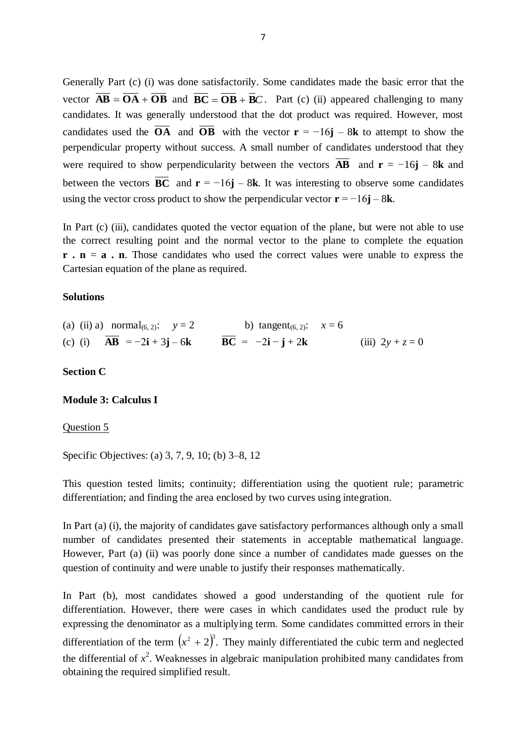Generally Part (c) (i) was done satisfactorily. Some candidates made the basic error that the vector  $\mathbf{AB} = \mathbf{OA} + \mathbf{OB}$  and  $\mathbf{BC} = \mathbf{OB} + \mathbf{BC}$ . Part (c) (ii) appeared challenging to many candidates. It was generally understood that the dot product was required. However, most candidates used the **OA** and **OB** with the vector  $\mathbf{r} = -16\mathbf{j} - 8\mathbf{k}$  to attempt to show the perpendicular property without success. A small number of candidates understood that they were required to show perpendicularity between the vectors  $\bf{AB}$  and  $\bf{r} = -16\bf{j} - 8\bf{k}$  and between the vectors **BC** and  $\mathbf{r} = -16\mathbf{j} - 8\mathbf{k}$ . It was interesting to observe some candidates using the vector cross product to show the perpendicular vector  $\mathbf{r} = -16\mathbf{j} - 8\mathbf{k}$ .

In Part (c) (iii), candidates quoted the vector equation of the plane, but were not able to use the correct resulting point and the normal vector to the plane to complete the equation **r** . **n** = **a** . **n**. Those candidates who used the correct values were unable to express the Cartesian equation of the plane as required.

### **Solutions**

| (a) (ii) a) normal <sub>(6, 2)</sub> : $y = 2$ | b) tangent <sub>(6, 2)</sub> : $x = 6$ |                    |
|------------------------------------------------|----------------------------------------|--------------------|
| (c) (i) $AB = -2i + 3j - 6k$                   | $BC = -2i - j + 2k$                    | (iii) $2y + z = 0$ |

## **Section C**

## **Module 3: Calculus I**

#### Question 5

Specific Objectives: (a) 3, 7, 9, 10; (b) 3–8, 12

This question tested limits; continuity; differentiation using the quotient rule; parametric differentiation; and finding the area enclosed by two curves using integration.

In Part (a) (i), the majority of candidates gave satisfactory performances although only a small number of candidates presented their statements in acceptable mathematical language. However, Part (a) (ii) was poorly done since a number of candidates made guesses on the question of continuity and were unable to justify their responses mathematically.

In Part (b), most candidates showed a good understanding of the quotient rule for differentiation. However, there were cases in which candidates used the product rule by expressing the denominator as a multiplying term. Some candidates committed errors in their differentiation of the term  $(x^2 + 2)^3$ . They mainly differentiated the cubic term and neglected the differential of  $x^2$ . Weaknesses in algebraic manipulation prohibited many candidates from obtaining the required simplified result.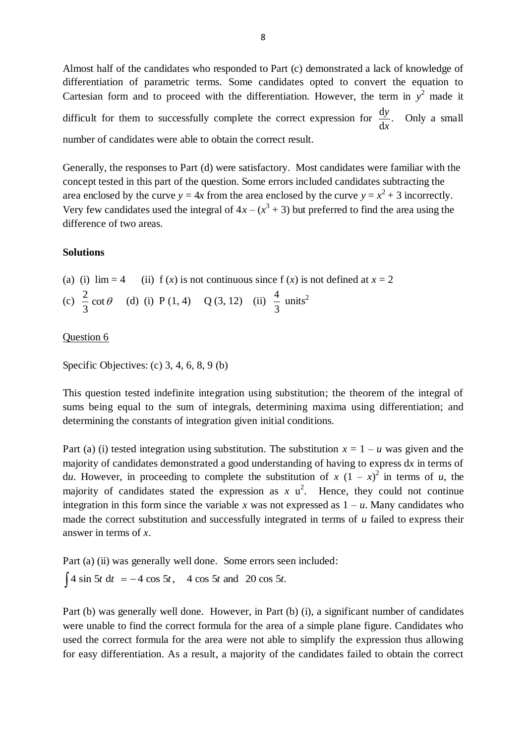Almost half of the candidates who responded to Part (c) demonstrated a lack of knowledge of differentiation of parametric terms. Some candidates opted to convert the equation to Cartesian form and to proceed with the differentiation. However, the term in  $y^2$  made it difficult for them to successfully complete the correct expression for  $\frac{dy}{dx}$ . d d *x*  $\frac{y}{x}$ . Only a small number of candidates were able to obtain the correct result.

Generally, the responses to Part (d) were satisfactory. Most candidates were familiar with the concept tested in this part of the question. Some errors included candidates subtracting the area enclosed by the curve  $y = 4x$  from the area enclosed by the curve  $y = x^2 + 3$  incorrectly. Very few candidates used the integral of  $4x - (x^3 + 3)$  but preferred to find the area using the difference of two areas.

## **Solutions**

(a) (i)  $\lim_{x \to a} 4$  (ii) f (*x*) is not continuous since f (*x*) is not defined at  $x = 2$ (c)  $\frac{2}{3} \cot \theta$ 3  $\frac{2}{5}$  cot  $\theta$  (d) (i) P (1, 4) Q (3, 12) (ii) 3  $\frac{4}{5}$  units<sup>2</sup>

# Question 6

Specific Objectives: (c) 3, 4, 6, 8, 9 (b)

This question tested indefinite integration using substitution; the theorem of the integral of sums being equal to the sum of integrals, determining maxima using differentiation; and determining the constants of integration given initial conditions.

Part (a) (i) tested integration using substitution. The substitution  $x = 1 - u$  was given and the majority of candidates demonstrated a good understanding of having to express d*x* in terms of d*u*. However, in proceeding to complete the substitution of  $x (1 - x)^2$  in terms of *u*, the majority of candidates stated the expression as  $x \, u^2$ . Hence, they could not continue integration in this form since the variable *x* was not expressed as  $1 - u$ . Many candidates who made the correct substitution and successfully integrated in terms of *u* failed to express their answer in terms of *x*.

Part (a) (ii) was generally well done. Some errors seen included:  $\int 4 \sin 5t \, dt = -4 \cos 5t$ , 4 cos 5*t* and 20 cos 5*t*.

Part (b) was generally well done. However, in Part (b) (i), a significant number of candidates were unable to find the correct formula for the area of a simple plane figure. Candidates who used the correct formula for the area were not able to simplify the expression thus allowing for easy differentiation. As a result, a majority of the candidates failed to obtain the correct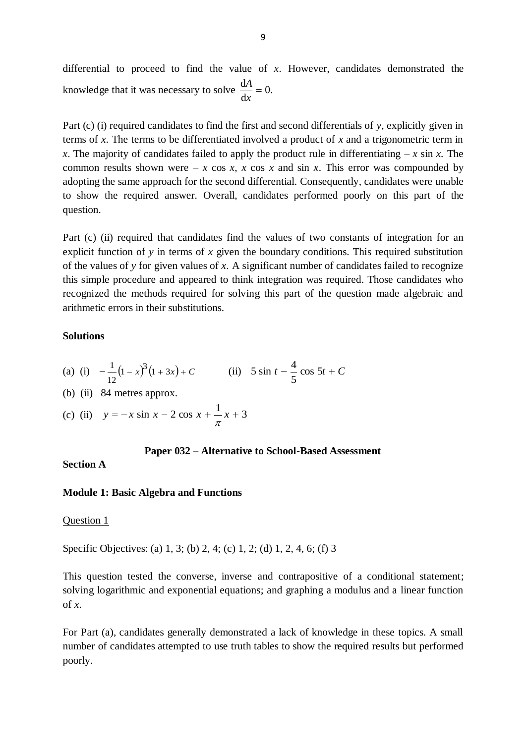differential to proceed to find the value of *x*. However, candidates demonstrated the knowledge that it was necessary to solve  $\frac{dA}{dt} = 0$ . d  $\frac{dA}{1}$  = *x A*

Part (c) (i) required candidates to find the first and second differentials of *y,* explicitly given in terms of *x*. The terms to be differentiated involved a product of *x* and a trigonometric term in *x*. The majority of candidates failed to apply the product rule in differentiating  $-x \sin x$ . The common results shown were  $-x \cos x$ , *x* cos *x* and sin *x*. This error was compounded by adopting the same approach for the second differential. Consequently, candidates were unable to show the required answer. Overall, candidates performed poorly on this part of the question.

Part (c) (ii) required that candidates find the values of two constants of integration for an explicit function of *y* in terms of *x* given the boundary conditions. This required substitution of the values of *y* for given values of *x*. A significant number of candidates failed to recognize this simple procedure and appeared to think integration was required. Those candidates who recognized the methods required for solving this part of the question made algebraic and arithmetic errors in their substitutions.

## **Solutions**

(a) (i) 
$$
-\frac{1}{12}(1-x)^3(1+3x) + C
$$
 (ii)  $5 \sin t - \frac{4}{5} \cos 5t + C$ 

- (b) (ii) 84 metres approx.
- (c) (ii)  $y = -x \sin x 2 \cos x + \frac{1}{\pi} x + 3$

#### **Paper 032 – Alternative to School-Based Assessment**

## **Section A**

## **Module 1: Basic Algebra and Functions**

#### Question 1

Specific Objectives: (a) 1, 3; (b) 2, 4; (c) 1, 2; (d) 1, 2, 4, 6; (f) 3

This question tested the converse, inverse and contrapositive of a conditional statement; solving logarithmic and exponential equations; and graphing a modulus and a linear function of *x*.

For Part (a), candidates generally demonstrated a lack of knowledge in these topics. A small number of candidates attempted to use truth tables to show the required results but performed poorly.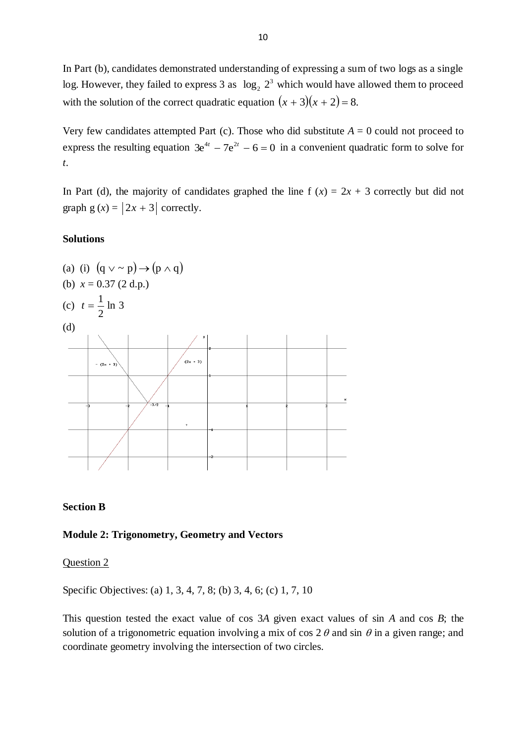In Part (b), candidates demonstrated understanding of expressing a sum of two logs as a single log. However, they failed to express 3 as  $log_2 2^3$  which would have allowed them to proceed with the solution of the correct quadratic equation  $(x + 3)(x + 2) = 8$ .

Very few candidates attempted Part (c). Those who did substitute  $A = 0$  could not proceed to express the resulting equation  $3e^{4t} - 7e^{2t} - 6 = 0$  in a convenient quadratic form to solve for *t*.

In Part (d), the majority of candidates graphed the line f  $(x) = 2x + 3$  correctly but did not graph  $g(x) = |2x + 3|$  correctly.

## **Solutions**



# **Section B**

## **Module 2: Trigonometry, Geometry and Vectors**

## Question 2

Specific Objectives: (a) 1, 3, 4, 7, 8; (b) 3, 4, 6; (c) 1, 7, 10

This question tested the exact value of cos 3*A* given exact values of sin *A* and cos *B*; the solution of a trigonometric equation involving a mix of cos  $2 \theta$  and sin  $\theta$  in a given range; and coordinate geometry involving the intersection of two circles.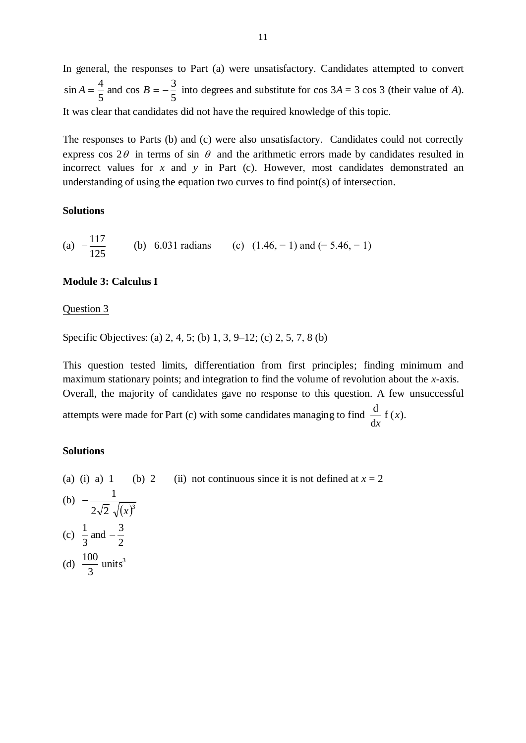In general, the responses to Part (a) were unsatisfactory. Candidates attempted to convert 5 and cos  $B = -\frac{3}{5}$ 5  $\sin A = \frac{4}{5}$  and  $\cos B = -\frac{3}{5}$  into degrees and substitute for  $\cos 3A = 3 \cos 3$  (their value of *A*). It was clear that candidates did not have the required knowledge of this topic.

The responses to Parts (b) and (c) were also unsatisfactory. Candidates could not correctly express cos  $2\theta$  in terms of sin  $\theta$  and the arithmetic errors made by candidates resulted in incorrect values for *x* and *y* in Part (c). However, most candidates demonstrated an understanding of using the equation two curves to find point(s) of intersection.

## **Solutions**

(a) 
$$
-\frac{117}{125}
$$
 (b) 6.031 radians (c)  $(1.46, -1)$  and  $(-5.46, -1)$ 

### **Module 3: Calculus I**

#### Question 3

Specific Objectives: (a) 2, 4, 5; (b) 1, 3, 9–12; (c) 2, 5, 7, 8 (b)

This question tested limits, differentiation from first principles; finding minimum and maximum stationary points; and integration to find the volume of revolution about the *x*-axis. Overall, the majority of candidates gave no response to this question. A few unsuccessful  $\frac{d}{dx} f(x)$ 

attempts were made for Part (c) with some candidates managing to find  $\frac{d}{dx} f(x)$ . d *x*

### **Solutions**

(a) (i) a) 1 (b) 2 (ii) not continuous since it is not defined at  $x = 2$ (b)  $2\sqrt{2} \sqrt{x^3}$ 1 *x* -(c) 2 and  $-\frac{3}{5}$ 3  $\frac{1}{2}$  and  $-$ (d)  $\frac{100}{2}$  units<sup>3</sup> 3 100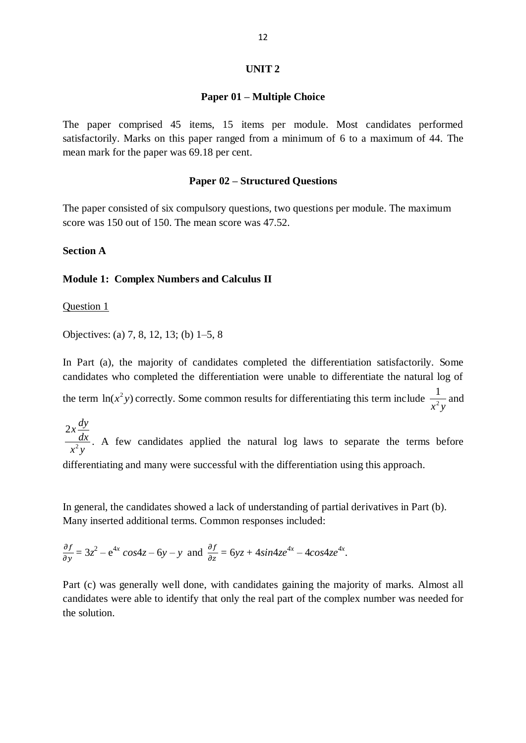### **UNIT 2**

#### **Paper 01 – Multiple Choice**

The paper comprised 45 items, 15 items per module. Most candidates performed satisfactorily. Marks on this paper ranged from a minimum of 6 to a maximum of 44. The mean mark for the paper was 69.18 per cent.

## **Paper 02 – Structured Questions**

The paper consisted of six compulsory questions, two questions per module. The maximum score was 150 out of 150. The mean score was 47.52.

## **Section A**

## **Module 1: Complex Numbers and Calculus II**

Question 1

Objectives: (a) 7, 8, 12, 13; (b) 1–5, 8

In Part (a), the majority of candidates completed the differentiation satisfactorily. Some candidates who completed the differentiation were unable to differentiate the natural log of the term  $\ln(x^2 y)$  correctly. Some common results for differentiating this term include  $\frac{1}{x^2}$ 1  $x^2y$ and

2  $2x \frac{dy}{dx}$ *dx*  $x^2y$ . A few candidates applied the natural log laws to separate the terms before differentiating and many were successful with the differentiation using this approach.

In general, the candidates showed a lack of understanding of partial derivatives in Part (b). Many inserted additional terms. Common responses included:

$$
\frac{\partial f}{\partial y} = 3z^2 - e^{4x} \cos 4z - 6y - y
$$
 and 
$$
\frac{\partial f}{\partial z} = 6yz + 4\sin 4ze^{4x} - 4\cos 4ze^{4x}.
$$

Part (c) was generally well done, with candidates gaining the majority of marks. Almost all candidates were able to identify that only the real part of the complex number was needed for the solution.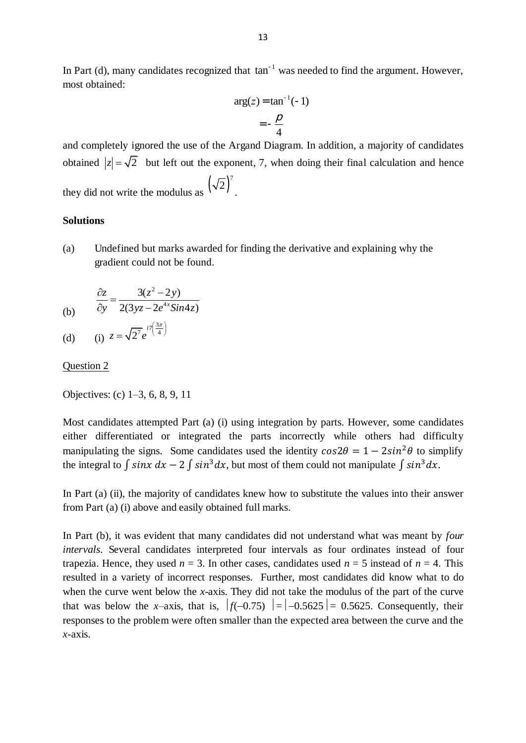In Part (d), many candidates recognized that  $tan^{-1}$  was needed to find the argument. However, most obtained:

$$
arg(z) = \tan^{-1}(-1)
$$

$$
= -\frac{\rho}{4}
$$

and completely ignored the use of the Argand Diagram. In addition, a majority of candidates obtained  $|z| = \sqrt{2}$  but left out the exponent, 7, when doing their final calculation and hence they did not write the modulus as  $(\sqrt{2})^7$ .

## **Solutions**

(a) Undefined but marks awarded for finding the derivative and explaining why the gradient could not be found.

$$
\frac{\partial z}{\partial y} = \frac{3(z^2 - 2y)}{2(3yz - 2e^{4x}sin4z)}
$$

(d) (i) 
$$
z = \sqrt{2^7} e^{i7(\frac{3\pi}{4})}
$$

#### Question 2

Objectives: (c) 1–3, 6, 8, 9, 11

Most candidates attempted Part (a) (i) using integration by parts. However, some candidates either differentiated or integrated the parts incorrectly while others had difficulty manipulating the signs. Some candidates used the identity  $cos 2\theta = 1 - 2sin^2 \theta$  to simplify the integral to  $\int \sin x \, dx - 2 \int \sin^3 dx$ , but most of them could not manipulate  $\int \sin^3 dx$ .

In Part (a) (ii), the majority of candidates knew how to substitute the values into their answer from Part (a) (i) above and easily obtained full marks.

In Part (b), it was evident that many candidates did not understand what was meant by *four intervals*. Several candidates interpreted four intervals as four ordinates instead of four trapezia. Hence, they used  $n = 3$ . In other cases, candidates used  $n = 5$  instead of  $n = 4$ . This resulted in a variety of incorrect responses. Further, most candidates did know what to do when the curve went below the *x-*axis. They did not take the modulus of the part of the curve that was below the *x*–axis, that is,  $|f(-0.75)| = |-0.5625| = 0.5625$ . Consequently, their responses to the problem were often smaller than the expected area between the curve and the *x-*axis.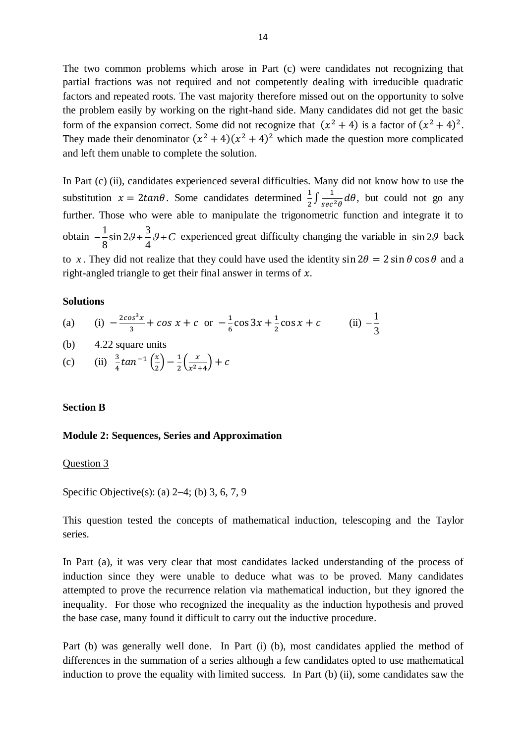The two common problems which arose in Part (c) were candidates not recognizing that partial fractions was not required and not competently dealing with irreducible quadratic factors and repeated roots. The vast majority therefore missed out on the opportunity to solve the problem easily by working on the right-hand side. Many candidates did not get the basic form of the expansion correct. Some did not recognize that  $(x^2 + 4)$  is a factor of  $(x^2 + 4)^2$ . They made their denominator  $(x^2 + 4)(x^2 + 4)^2$  which made the question more complicated and left them unable to complete the solution.

In Part (c) (ii), candidates experienced several difficulties. Many did not know how to use the substitution  $x = 2 \tan \theta$ . Some candidates determined  $\frac{1}{2} \int \frac{1}{\sec^2 \theta}$  $\frac{1}{\sec^2 \theta} d\theta$ , but could not go any further. Those who were able to manipulate the trigonometric function and integrate it to obtain  $-\frac{1}{2}\sin 2\theta + \frac{3}{4}$  $\frac{-\sin 2\theta + \cos 4}{4}$  $-\frac{1}{2}\sin 2\theta + \frac{3}{4}\theta + C$  experienced great difficulty changing the variable in  $\sin 2\theta$  back to x. They did not realize that they could have used the identity  $\sin 2\theta = 2 \sin \theta \cos \theta$  and a right-angled triangle to get their final answer in terms of  $x$ .

#### **Solutions**

(a) (i) 
$$
-\frac{2\cos^3 x}{3} + \cos x + c
$$
 or  $-\frac{1}{6}\cos 3x + \frac{1}{2}\cos x + c$  (ii)  $-\frac{1}{3}$ 

(b) 4.22 square units

(c) (ii) 
$$
\frac{3}{4} \tan^{-1} \left(\frac{x}{2}\right) - \frac{1}{2} \left(\frac{x}{x^2 + 4}\right) + c
$$

## **Section B**

#### **Module 2: Sequences, Series and Approximation**

#### Question 3

Specific Objective(s): (a)  $2-4$ ; (b) 3, 6, 7, 9

This question tested the concepts of mathematical induction, telescoping and the Taylor series.

In Part (a), it was very clear that most candidates lacked understanding of the process of induction since they were unable to deduce what was to be proved. Many candidates attempted to prove the recurrence relation via mathematical induction, but they ignored the inequality. For those who recognized the inequality as the induction hypothesis and proved the base case, many found it difficult to carry out the inductive procedure.

Part (b) was generally well done. In Part (i) (b), most candidates applied the method of differences in the summation of a series although a few candidates opted to use mathematical induction to prove the equality with limited success. In Part (b) (ii), some candidates saw the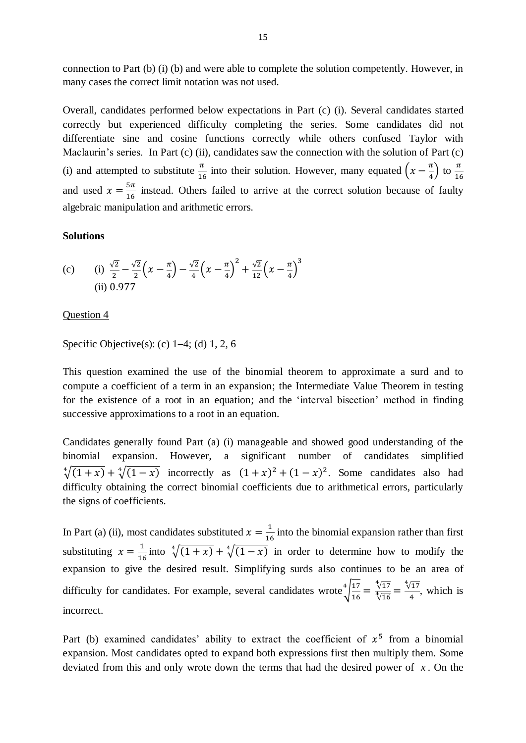connection to Part (b) (i) (b) and were able to complete the solution competently. However, in many cases the correct limit notation was not used.

Overall, candidates performed below expectations in Part (c) (i). Several candidates started correctly but experienced difficulty completing the series. Some candidates did not differentiate sine and cosine functions correctly while others confused Taylor with Maclaurin's series. In Part (c) (ii), candidates saw the connection with the solution of Part (c) (i) and attempted to substitute  $\frac{\pi}{16}$  into their solution. However, many equated  $\left(x - \frac{\pi}{4}\right)$  $\frac{\pi}{4}$ ) to  $\frac{\pi}{16}$  $\mathbf{1}$ and used  $x = \frac{5}{4}$  $\frac{3n}{16}$  instead. Others failed to arrive at the correct solution because of faulty algebraic manipulation and arithmetic errors.

### **Solutions**

(c) (i) 
$$
\frac{\sqrt{2}}{2} - \frac{\sqrt{2}}{2} \left( x - \frac{\pi}{4} \right) - \frac{\sqrt{2}}{4} \left( x - \frac{\pi}{4} \right)^2 + \frac{\sqrt{2}}{12} \left( x - \frac{\pi}{4} \right)^3
$$
  
(ii) 0.977

### Question 4

Specific Objective(s): (c)  $1-4$ ; (d) 1, 2, 6

This question examined the use of the binomial theorem to approximate a surd and to compute a coefficient of a term in an expansion; the Intermediate Value Theorem in testing for the existence of a root in an equation; and the 'interval bisection' method in finding successive approximations to a root in an equation.

Candidates generally found Part (a) (i) manageable and showed good understanding of the binomial expansion. However, a significant number of candidates simplified  $\sqrt[4]{(1+x)} + \sqrt[4]{(1-x)}$  incorrectly as  $(1+x)^2 + (1-x)^2$ . Some candidates also had difficulty obtaining the correct binomial coefficients due to arithmetical errors, particularly the signs of coefficients.

In Part (a) (ii), most candidates substituted  $x = \frac{1}{x}$  $\frac{1}{16}$  into the binomial expansion rather than first substituting  $x = \frac{1}{10}$  $\frac{1}{16}$  into  $\sqrt[4]{(1+x)} + \sqrt[4]{(1-x)}$  in order to determine how to modify the expansion to give the desired result. Simplifying surds also continues to be an area of difficulty for candidates. For example, several candidates wrote  $\frac{4}{4}$  $\mathbf{1}$  $\sqrt[4]{\frac{17}{16}} = \frac{\sqrt[4]{1}}{\sqrt[4]{6}}$ √ √  $\frac{17}{4}$ , which is incorrect.

Part (b) examined candidates' ability to extract the coefficient of  $x^5$  from a binomial expansion. Most candidates opted to expand both expressions first then multiply them. Some deviated from this and only wrote down the terms that had the desired power of *x* . On the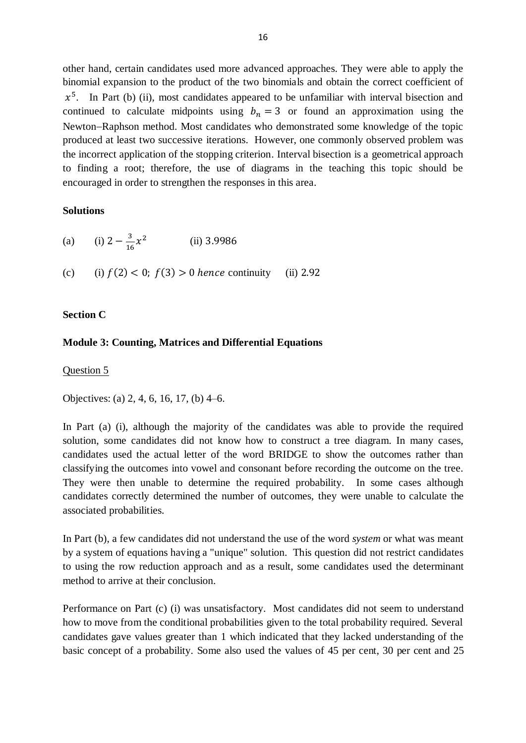other hand, certain candidates used more advanced approaches. They were able to apply the binomial expansion to the product of the two binomials and obtain the correct coefficient of  $x^5$ . In Part (b) (ii), most candidates appeared to be unfamiliar with interval bisection and continued to calculate midpoints using  $b_n = 3$  or found an approximation using the Newton-Raphson method. Most candidates who demonstrated some knowledge of the topic produced at least two successive iterations. However, one commonly observed problem was the incorrect application of the stopping criterion. Interval bisection is a geometrical approach to finding a root; therefore, the use of diagrams in the teaching this topic should be encouraged in order to strengthen the responses in this area.

## **Solutions**

| (a) (i) $2 - \frac{3}{16}x^2$                              | $(ii)$ 3.9986 |  |
|------------------------------------------------------------|---------------|--|
| (c) (i) $f(2) < 0$ ; $f(3) > 0$ hence continuity (ii) 2.92 |               |  |

# **Section C**

# **Module 3: Counting, Matrices and Differential Equations**

Question 5

Objectives: (a) 2, 4, 6, 16, 17, (b) 4–6.

In Part (a) (i), although the majority of the candidates was able to provide the required solution, some candidates did not know how to construct a tree diagram. In many cases, candidates used the actual letter of the word BRIDGE to show the outcomes rather than classifying the outcomes into vowel and consonant before recording the outcome on the tree. They were then unable to determine the required probability. In some cases although candidates correctly determined the number of outcomes, they were unable to calculate the associated probabilities.

In Part (b), a few candidates did not understand the use of the word *system* or what was meant by a system of equations having a "unique" solution. This question did not restrict candidates to using the row reduction approach and as a result, some candidates used the determinant method to arrive at their conclusion.

Performance on Part (c) (i) was unsatisfactory. Most candidates did not seem to understand how to move from the conditional probabilities given to the total probability required. Several candidates gave values greater than 1 which indicated that they lacked understanding of the basic concept of a probability. Some also used the values of 45 per cent, 30 per cent and 25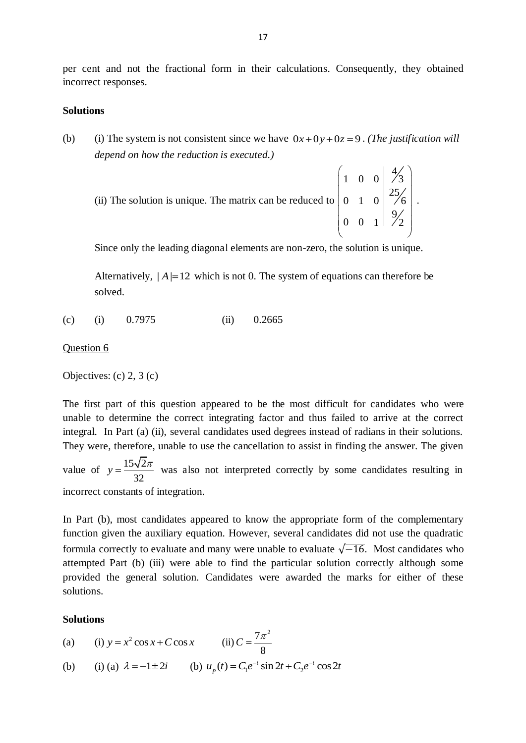per cent and not the fractional form in their calculations. Consequently, they obtained incorrect responses.

## **Solutions**

(b) (i) The system is not consistent since we have  $0x + 0y + 0z = 9$ . (*The justification will depend on how the reduction is executed.)*

| (ii) The solution is unique. The matrix can be reduced to $\begin{pmatrix} 1 & 0 & 0 & \frac{4}{3} \\ 0 & 1 & 0 & \frac{25}{6} \end{pmatrix}$ . |  |  |  |
|-------------------------------------------------------------------------------------------------------------------------------------------------|--|--|--|
|                                                                                                                                                 |  |  |  |

Since only the leading diagonal elements are non-zero, the solution is unique.

Alternatively,  $|A|=12$  which is not 0. The system of equations can therefore be solved.

(c) (i) 0.7975 (ii) 0.2665

#### Question 6

Objectives: (c) 2, 3 (c)

The first part of this question appeared to be the most difficult for candidates who were unable to determine the correct integrating factor and thus failed to arrive at the correct integral. In Part (a) (ii), several candidates used degrees instead of radians in their solutions. They were, therefore, unable to use the cancellation to assist in finding the answer. The given

value of  $y = \frac{15\sqrt{2}}{2}$ 32  $y = \frac{15\sqrt{2\pi}}{22}$  was also not interpreted correctly by some candidates resulting in incorrect constants of integration.

In Part (b), most candidates appeared to know the appropriate form of the complementary function given the auxiliary equation. However, several candidates did not use the quadratic formula correctly to evaluate and many were unable to evaluate  $\sqrt{-16}$ . Most candidates who attempted Part (b) (iii) were able to find the particular solution correctly although some provided the general solution. Candidates were awarded the marks for either of these solutions.

### **Solutions**

- $(a)$  $y = x^2 \cos x + C \cos x$  (ii)  $7\pi^2$ 8  $C=\frac{7\pi}{2}$
- (b) (i) (a)  $\lambda = -1 \pm 2i$  (b)  $u_p(t) = C_1 e^{-t} \sin 2t + C_2 e^{-t} \cos 2t$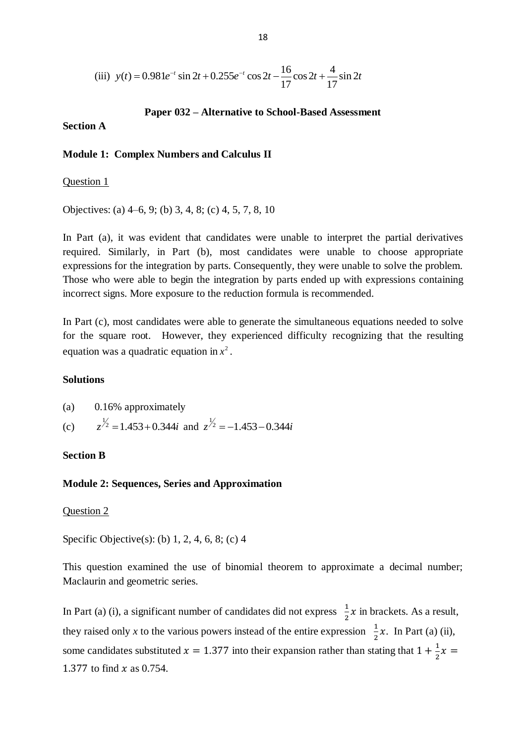(iii) 
$$
y(t) = 0.981e^{-t} \sin 2t + 0.255e^{-t} \cos 2t - \frac{16}{17} \cos 2t + \frac{4}{17} \sin 2t
$$

# **Paper 032 – Alternative to School-Based Assessment**

## **Section A**

### **Module 1: Complex Numbers and Calculus II**

### Question 1

Objectives: (a) 4–6, 9; (b) 3, 4, 8; (c) 4, 5, 7, 8, 10

In Part (a), it was evident that candidates were unable to interpret the partial derivatives required. Similarly, in Part (b), most candidates were unable to choose appropriate expressions for the integration by parts. Consequently, they were unable to solve the problem. Those who were able to begin the integration by parts ended up with expressions containing incorrect signs. More exposure to the reduction formula is recommended.

In Part (c), most candidates were able to generate the simultaneous equations needed to solve for the square root. However, they experienced difficulty recognizing that the resulting equation was a quadratic equation in  $x^2$ .

#### **Solutions**

| $(a)$ 0.16% approximately                                      |
|----------------------------------------------------------------|
| (c) $z^{1/2} = 1.453 + 0.344i$ and $z^{1/2} = -1.453 - 0.344i$ |

### **Section B**

## **Module 2: Sequences, Series and Approximation**

## Question 2

Specific Objective(s): (b) 1, 2, 4, 6, 8; (c) 4

This question examined the use of binomial theorem to approximate a decimal number; Maclaurin and geometric series.

In Part (a) (i), a significant number of candidates did not express  $\frac{1}{2}$  $\frac{1}{2}x$  in brackets. As a result, they raised only *x* to the various powers instead of the entire expression  $\frac{1}{2}x$ . In Part (a) (ii), some candidates substituted  $x = 1.377$  into their expansion rather than stating that  $1 + \frac{1}{2}$  $\frac{1}{2}x$ 1.377 to find  $x$  as 0.754.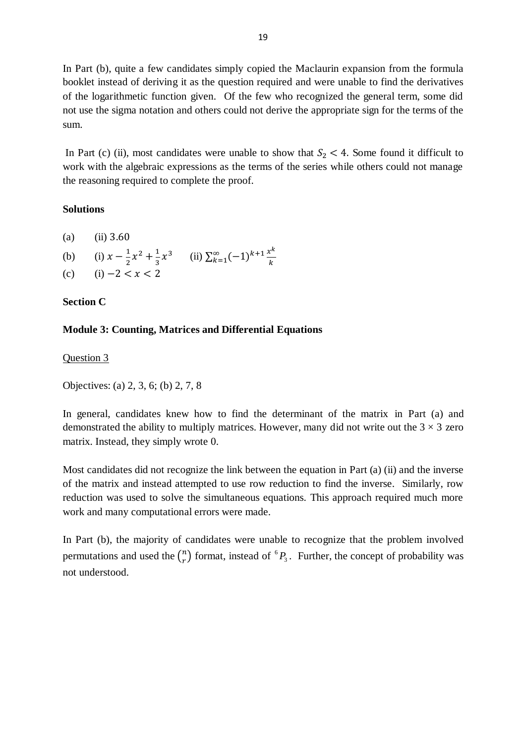In Part (b), quite a few candidates simply copied the Maclaurin expansion from the formula booklet instead of deriving it as the question required and were unable to find the derivatives of the logarithmetic function given. Of the few who recognized the general term, some did not use the sigma notation and others could not derive the appropriate sign for the terms of the sum.

In Part (c) (ii), most candidates were unable to show that  $S_2 < 4$ . Some found it difficult to work with the algebraic expressions as the terms of the series while others could not manage the reasoning required to complete the proof.

# **Solutions**

- (a) (ii)  $3.60$
- (b) (i)  $x \frac{1}{2}$  $\frac{1}{2}x^2 + \frac{1}{3}$  $\frac{1}{3}x^3$  (ii)  $\sum_{k=1}^{\infty}(-1)^{k+1}\frac{x^k}{k}$  $\boldsymbol{k}$  $\frac{\infty}{k}$
- (c) (i)  $-2 < x < 2$

# **Section C**

# **Module 3: Counting, Matrices and Differential Equations**

Question 3

Objectives: (a) 2, 3, 6; (b) 2, 7, 8

In general, candidates knew how to find the determinant of the matrix in Part (a) and demonstrated the ability to multiply matrices. However, many did not write out the  $3 \times 3$  zero matrix. Instead, they simply wrote 0.

Most candidates did not recognize the link between the equation in Part (a) (ii) and the inverse of the matrix and instead attempted to use row reduction to find the inverse. Similarly, row reduction was used to solve the simultaneous equations. This approach required much more work and many computational errors were made.

In Part (b), the majority of candidates were unable to recognize that the problem involved permutations and used the  $\binom{n}{r}$  $\binom{n}{r}$  format, instead of  $\binom{6}{3}$ . Further, the concept of probability was not understood.